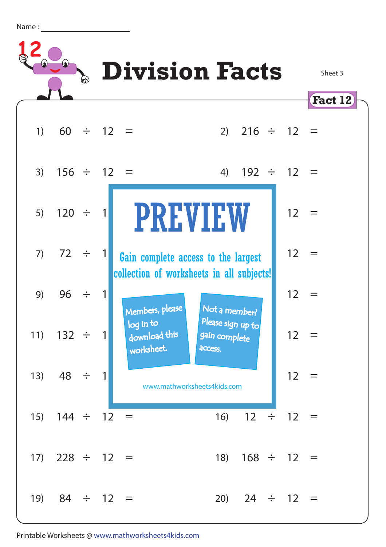